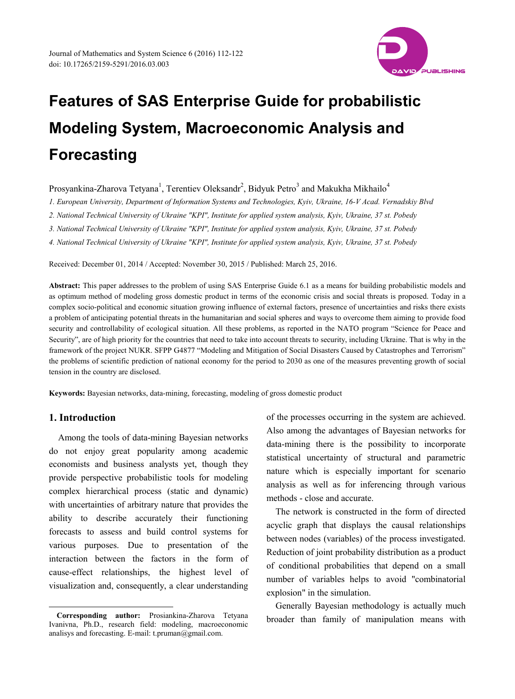

# Prosyankina-Zharova Tetyana<sup>1</sup>, Terentiev Oleksandr<sup>2</sup>, Bidyuk Petro<sup>3</sup> and Makukha Mikhailo<sup>4</sup>

*1. European University, Department of Information Systems and Technologies, Kyiv, Ukraine, 16-V Acad. Vernadskiy Blvd*

*2. National Technical University of Ukraine "KPI", Institute for applied system analysis, Kyiv, Ukraine, 37 st. Pobedy*

*3. National Technical University of Ukraine "KPI", Institute for applied system analysis, Kyiv, Ukraine, 37 st. Pobedy*

*4. National Technical University of Ukraine "KPI", Institute for applied system analysis, Kyiv, Ukraine, 37 st. Pobedy*

Received: December 01, 2014 / Accepted: November 30, 2015 / Published: March 25, 2016.

**Abstract:** This paper addresses to the problem of using SAS Enterprise Guide 6.1 as a means for building probabilistic models and as optimum method of modeling gross domestic product in terms of the economic crisis and social threats is proposed. Today in a complex socio-political and economic situation growing influence of external factors, presence of uncertainties and risks there exists a problem of anticipating potential threats in the humanitarian and social spheres and ways to overcome them aiming to provide food security and controllability of ecological situation. All these problems, as reported in the NATO program "Science for Peace and Security", are of high priority for the countries that need to take into account threats to security, including Ukraine. That is why in the framework of the project NUKR. SFPP G4877 "Modeling and Mitigation of Social Disasters Caused by Catastrophes and Terrorism" the problems of scientific prediction of national economy for the period to 2030 as one of the measures preventing growth of social tension in the country are disclosed.

**Keywords:** Bayesian networks, data-mining, forecasting, modeling of gross domestic product

## **1. Introduction**

-

Among the tools of data-mining Bayesian networks do not enjoy great popularity among academic economists and business analysts yet, though they provide perspective probabilistic tools for modeling complex hierarchical process (static and dynamic) with uncertainties of arbitrary nature that provides the ability to describe accurately their functioning forecasts to assess and build control systems for various purposes. Due to presentation of the interaction between the factors in the form of cause-effect relationships, the highest level of visualization and, consequently, a clear understanding

of the processes occurring in the system are achieved. Also among the advantages of Bayesian networks for data-mining there is the possibility to incorporate statistical uncertainty of structural and parametric nature which is especially important for scenario analysis as well as for inferencing through various methods - close and accurate.

The network is constructed in the form of directed acyclic graph that displays the causal relationships between nodes (variables) of the process investigated. Reduction of joint probability distribution as a product of conditional probabilities that depend on a small number of variables helps to avoid "combinatorial explosion" in the simulation.

Generally Bayesian methodology is actually much broader than family of manipulation means with

<span id="page-0-0"></span>**Corresponding author:** Prosiankina-Zharova Tetyana Ivanivna, Ph.D., research field: modeling, macroeconomic analisys and forecasting. E-mail: t.pruman@gmail.com.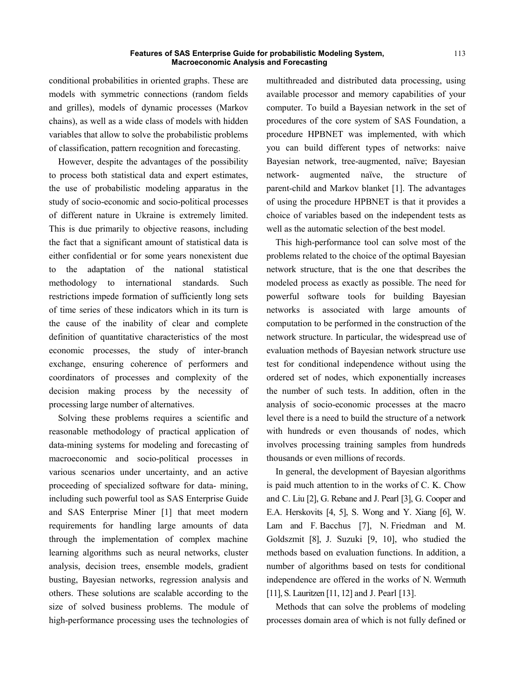conditional probabilities in oriented graphs. These are models with symmetric connections (random fields and grilles), models of dynamic processes (Markov chains), as well as a wide class of models with hidden variables that allow to solve the probabilistic problems of classification, pattern recognition and forecasting.

However, despite the advantages of the possibility to process both statistical data and expert estimates, the use of probabilistic modeling apparatus in the study of socio-economic and socio-political processes of different nature in Ukraine is extremely limited. This is due primarily to objective reasons, including the fact that a significant amount of statistical data is either confidential or for some years nonexistent due to the adaptation of the national statistical methodology to international standards. Such restrictions impede formation of sufficiently long sets of time series of these indicators which in its turn is the cause of the inability of clear and complete definition of quantitative characteristics of the most economic processes, the study of inter-branch exchange, ensuring coherence of performers and coordinators of processes and complexity of the decision making process by the necessity of processing large number of alternatives.

Solving these problems requires a scientific and reasonable methodology of practical application of data-mining systems for modeling and forecasting of macroeconomic and socio-political processes in various scenarios under uncertainty, and an active proceeding of specialized software for data- mining, including such powerful tool as SAS Enterprise Guide and SAS Enterprise Miner [1] that meet modern requirements for handling large amounts of data through the implementation of complex machine learning algorithms such as neural networks, cluster analysis, decision trees, ensemble models, gradient busting, Bayesian networks, regression analysis and others. These solutions are scalable according to the size of solved business problems. The module of high-performance processing uses the technologies of multithreaded and distributed data processing, using available processor and memory capabilities of your computer. To build a Bayesian network in the set of procedures of the core system of SAS Foundation, a procedure HPBNET was implemented, with which you can build different types of networks: naive Bayesian network, tree-augmented, naïve; Bayesian network- augmented naïve, the structure of parent-child and Markov blanket [1]. The advantages of using the procedure HPBNET is that it provides a choice of variables based on the independent tests as well as the automatic selection of the best model.

This high-performance tool can solve most of the problems related to the choice of the optimal Bayesian network structure, that is the one that describes the modeled process as exactly as possible. The need for powerful software tools for building Bayesian networks is associated with large amounts of computation to be performed in the construction of the network structure. In particular, the widespread use of evaluation methods of Bayesian network structure use test for conditional independence without using the ordered set of nodes, which exponentially increases the number of such tests. In addition, often in the analysis of socio-economic processes at the macro level there is a need to build the structure of a network with hundreds or even thousands of nodes, which involves processing training samples from hundreds thousands or even millions of records.

In general, the development of Bayesian algorithms is paid much attention to in the works of C. K. Chow and C. Liu [2], G. Rebane and J. Pearl [3], G. Cooper and E.A. Herskovits [4, 5], S. Wong and Y. Xiang [6], W. Lam and F. Bacchus [7], N. Friedman and M. Goldszmit [8], J. Suzuki [9, 10], who studied the methods based on evaluation functions. In addition, a number of algorithms based on tests for conditional independence are offered in the works of N. Wermuth [11], S. Lauritzen [11, 12] and J. Pearl [13].

Methods that can solve the problems of modeling processes domain area of which is not fully defined or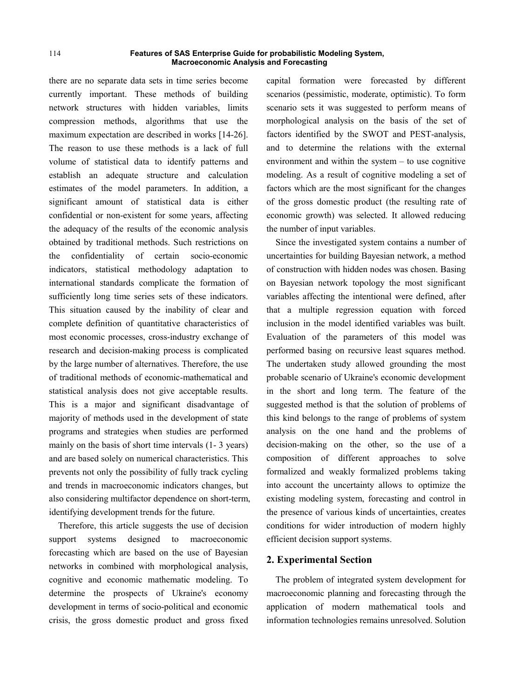there are no separate data sets in time series become currently important. These methods of building network structures with hidden variables, limits compression methods, algorithms that use the maximum expectation are described in works [14-26]. The reason to use these methods is a lack of full volume of statistical data to identify patterns and establish an adequate structure and calculation estimates of the model parameters. In addition, a significant amount of statistical data is either confidential or non-existent for some years, affecting the adequacy of the results of the economic analysis obtained by traditional methods. Such restrictions on the confidentiality of certain socio-economic indicators, statistical methodology adaptation to international standards complicate the formation of sufficiently long time series sets of these indicators. This situation caused by the inability of clear and complete definition of quantitative characteristics of most economic processes, cross-industry exchange of research and decision-making process is complicated by the large number of alternatives. Therefore, the use of traditional methods of economic-mathematical and statistical analysis does not give acceptable results. This is a major and significant disadvantage of majority of methods used in the development of state programs and strategies when studies are performed mainly on the basis of short time intervals (1- 3 years) and are based solely on numerical characteristics. This prevents not only the possibility of fully track cycling and trends in macroeconomic indicators changes, but also considering multifactor dependence on short-term, identifying development trends for the future.

Therefore, this article suggests the use of decision support systems designed to macroeconomic forecasting which are based on the use of Bayesian networks in combined with morphological analysis, cognitive and economic mathematic modeling. To determine the prospects of Ukraine's economy development in terms of socio-political and economic crisis, the gross domestic product and gross fixed

capital formation were forecasted by different scenarios (pessimistic, moderate, optimistic). To form scenario sets it was suggested to perform means of morphological analysis on the basis of the set of factors identified by the SWOT and PEST-analysis, and to determine the relations with the external environment and within the system – to use cognitive modeling. As a result of cognitive modeling a set of factors which are the most significant for the changes of the gross domestic product (the resulting rate of economic growth) was selected. It allowed reducing the number of input variables.

Since the investigated system contains a number of uncertainties for building Bayesian network, a method of construction with hidden nodes was chosen. Basing on Bayesian network topology the most significant variables affecting the intentional were defined, after that a multiple regression equation with forced inclusion in the model identified variables was built. Evaluation of the parameters of this model was performed basing on recursive least squares method. The undertaken study allowed grounding the most probable scenario of Ukraine's economic development in the short and long term. The feature of the suggested method is that the solution of problems of this kind belongs to the range of problems of system analysis on the one hand and the problems of decision-making on the other, so the use of a composition of different approaches to solve formalized and weakly formalized problems taking into account the uncertainty allows to optimize the existing modeling system, forecasting and control in the presence of various kinds of uncertainties, creates conditions for wider introduction of modern highly efficient decision support systems.

## **2. Experimental Section**

The problem of integrated system development for macroeconomic planning and forecasting through the application of modern mathematical tools and information technologies remains unresolved. Solution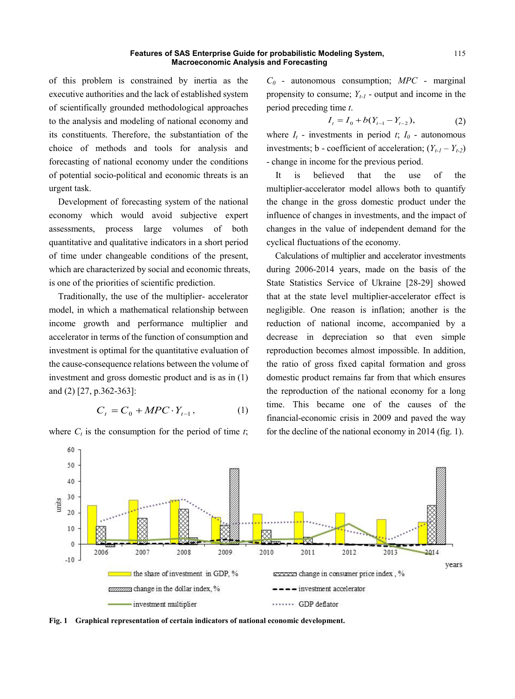of this problem is constrained by inertia as the executive authorities and the lack of established system of scientifically grounded methodological approaches to the analysis and modeling of national economy and its constituents. Therefore, the substantiation of the choice of methods and tools for analysis and forecasting of national economy under the conditions of potential socio-political and economic threats is an urgent task.

Development of forecasting system of the national economy which would avoid subjective expert assessments, process large volumes of both quantitative and qualitative indicators in a short period of time under changeable conditions of the present, which are characterized by social and economic threats, is one of the priorities of scientific prediction.

Traditionally, the use of the multiplier- accelerator model, in which a mathematical relationship between income growth and performance multiplier and accelerator in terms of the function of consumption and investment is optimal for the quantitative evaluation of the cause-consequence relations between the volume of investment and gross domestic product and is as in (1) and (2) [27, p.362-363]:

$$
C_t = C_0 + MPC \cdot Y_{t-1}, \tag{1}
$$

where  $C_t$  is the consumption for the period of time  $t$ ;

*C0* - autonomous consumption; *MPC* - marginal propensity to consume;  $Y_{t-1}$  - output and income in the period preceding time *t*.

$$
I_t = I_0 + b(Y_{t-1} - Y_{t-2}), \tag{2}
$$

where  $I_t$  - investments in period  $t$ ;  $I_0$  - autonomous investments; **b** - coefficient of acceleration;  $(Y_{t-1} - Y_{t-2})$ - change in income for the previous period.

It is believed that the use of the multiplier-accelerator model allows both to quantify the change in the gross domestic product under the influence of changes in investments, and the impact of changes in the value of independent demand for the cyclical fluctuations of the economy.

Calculations of multiplier and accelerator investments during 2006-2014 years, made on the basis of the State Statistics Service of Ukraine [28-29] showed that at the state level multiplier-accelerator effect is negligible. One reason is inflation; another is the reduction of national income, accompanied by a decrease in depreciation so that even simple reproduction becomes almost impossible. In addition, the ratio of gross fixed capital formation and gross domestic product remains far from that which ensures the reproduction of the national economy for a long time. This became one of the causes of the financial-economic crisis in 2009 and paved the way for the decline of the national economy in 2014 (fig. 1).



**Fig. 1 Graphical representation of certain indicators of national economic development.**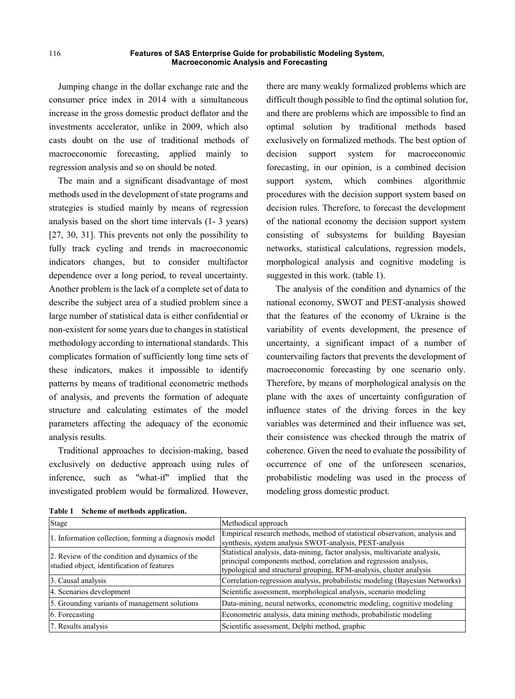Jumping change in the dollar exchange rate and the consumer price index in 2014 with a simultaneous increase in the gross domestic product deflator and the investments accelerator, unlike in 2009, which also casts doubt on the use of traditional methods of macroeconomic forecasting, applied mainly to regression analysis and so on should be noted.

The main and a significant disadvantage of most methods used in the development of state programs and strategies is studied mainly by means of regression analysis based on the short time intervals (1- 3 years) [27, 30, 31]. This prevents not only the possibility to fully track cycling and trends in macroeconomic indicators changes, but to consider multifactor dependence over a long period, to reveal uncertainty. Another problem is the lack of a complete set of data to describe the subject area of a studied problem since a large number of statistical data is either confidential or non-existent for some years due to changes in statistical methodology according to international standards. This complicates formation of sufficiently long time sets of these indicators, makes it impossible to identify patterns by means of traditional econometric methods of analysis, and prevents the formation of adequate structure and calculating estimates of the model parameters affecting the adequacy of the economic analysis results.

Traditional approaches to decision-making, based exclusively on deductive approach using rules of inference, such as "what-if" implied that the investigated problem would be formalized. However,

there are many weakly formalized problems which are difficult though possible to find the optimal solution for, and there are problems which are impossible to find an optimal solution by traditional methods based exclusively on formalized methods. The best option of decision support system for macroeconomic forecasting, in our opinion, is a combined decision support system, which combines algorithmic procedures with the decision support system based on decision rules. Therefore, to forecast the development of the national economy the decision support system consisting of subsystems for building Bayesian networks, statistical calculations, regression models, morphological analysis and cognitive modeling is suggested in this work. (table 1).

The analysis of the condition and dynamics of the national economy, SWOT and PEST-analysis showed that the features of the economy of Ukraine is the variability of events development, the presence of uncertainty, a significant impact of a number of countervailing factors that prevents the development of macroeconomic forecasting by one scenario only. Therefore, by means of morphological analysis on the plane with the axes of uncertainty configuration of influence states of the driving forces in the key variables was determined and their influence was set, their consistence was checked through the matrix of coherence. Given the need to evaluate the possibility of occurrence of one of the unforeseen scenarios, probabilistic modeling was used in the process of modeling gross domestic product.

| таріс т<br>scheme of methods application.                                                                                                                                                                              |  |  |  |  |  |
|------------------------------------------------------------------------------------------------------------------------------------------------------------------------------------------------------------------------|--|--|--|--|--|
| Methodical approach                                                                                                                                                                                                    |  |  |  |  |  |
| Empirical research methods, method of statistical observation, analysis and<br>synthesis, system analysis SWOT-analysis, PEST-analysis                                                                                 |  |  |  |  |  |
| Statistical analysis, data-mining, factor analysis, multivariate analysis,<br>principal components method, correlation and regression analysis,<br>typological and structural grouping, RFM-analysis, cluster analysis |  |  |  |  |  |
| Correlation-regression analysis, probabilistic modeling (Bayesian Networks)                                                                                                                                            |  |  |  |  |  |
| Scientific assessment, morphological analysis, scenario modeling                                                                                                                                                       |  |  |  |  |  |
| Data-mining, neural networks, econometric modeling, cognitive modeling                                                                                                                                                 |  |  |  |  |  |
| Econometric analysis, data mining methods, probabilistic modeling                                                                                                                                                      |  |  |  |  |  |
| Scientific assessment, Delphi method, graphic                                                                                                                                                                          |  |  |  |  |  |
|                                                                                                                                                                                                                        |  |  |  |  |  |

|  |  |  |  | Table 1 Scheme of methods application. |  |
|--|--|--|--|----------------------------------------|--|
|--|--|--|--|----------------------------------------|--|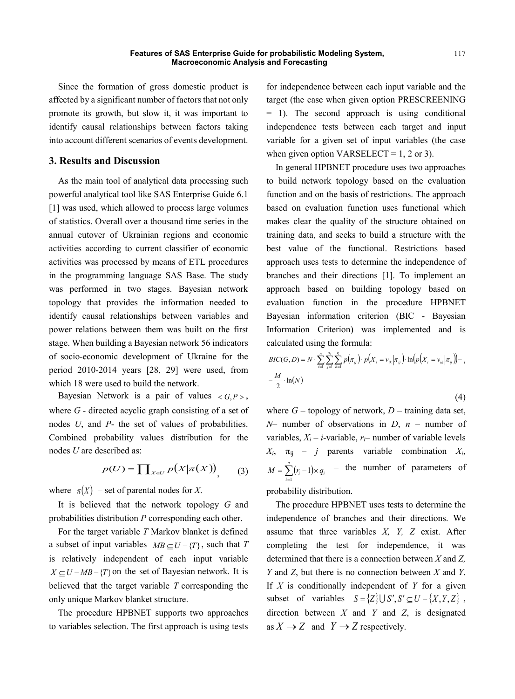Since the formation of gross domestic product is affected by a significant number of factors that not only promote its growth, but slow it, it was important to identify causal relationships between factors taking into account different scenarios of events development.

## **3. Results and Discussion**

As the main tool of analytical data processing such powerful analytical tool like SAS Enterprise Guide 6.1 [1] was used, which allowed to process large volumes of statistics. Overall over a thousand time series in the annual cutover of Ukrainian regions and economic activities according to current classifier of economic activities was processed by means of ETL procedures in the programming language SAS Base. The study was performed in two stages. Bayesian network topology that provides the information needed to identify causal relationships between variables and power relations between them was built on the first stage. When building a Bayesian network 56 indicators of socio-economic development of Ukraine for the period 2010-2014 years [28, 29] were used, from which 18 were used to build the network.

Bayesian Network is a pair of values  $\langle G, P \rangle$ , where *G* - directed acyclic graph consisting of a set of nodes *U*, and *P*- the set of values of probabilities. Combined probability values distribution for the nodes *U* are described as:

$$
p(U) = \prod_{X \in U} p(X|\pi(X)) \tag{3}
$$

where  $\pi(X)$  – set of parental nodes for X.

It is believed that the network topology *G* and probabilities distribution *P* corresponding each other.

For the target variable *T* Markov blanket is defined a subset of input variables  $MB \subseteq U - \{T\}$ , such that *T* is relatively independent of each input variable  $X \subseteq U - MB - {T}$  on the set of Bayesian network. It is believed that the target variable *T* corresponding the only unique Markov blanket structure.

The procedure HPBNET supports two approaches to variables selection. The first approach is using tests

for independence between each input variable and the target (the case when given option PRESCREENING = 1). The second approach is using conditional independence tests between each target and input variable for a given set of input variables (the case when given option VARSELECT =  $1, 2$  or 3).

In general HPBNET procedure uses two approaches to build network topology based on the evaluation function and on the basis of restrictions. The approach based on evaluation function uses functional which makes clear the quality of the structure obtained on training data, and seeks to build a structure with the best value of the functional. Restrictions based approach uses tests to determine the independence of branches and their directions [1]. To implement an approach based on building topology based on evaluation function in the procedure HPBNET Bayesian information criterion (BIC - Bayesian Information Criterion) was implemented and is calculated using the formula:

$$
BIC(G, D) = N \cdot \sum_{i=1}^{n} \sum_{j=1}^{q_i} \sum_{k=1}^{r_i} p(\pi_{ij}) \cdot p(X_i = v_{ik} | \pi_{ij}) \cdot \ln(p(X_i = v_{ik} | \pi_{ij})) - ,
$$
  

$$
-\frac{M}{2} \cdot \ln(N)
$$
 (4)

where  $G$  – topology of network,  $D$  – training data set, *N*– number of observations in *D*, *n* – number of variables,  $X_i - i$ -variable,  $r_i$ – number of variable levels  $X_i$ ,  $\pi_{ij}$  – *j* parents variable combination  $X_i$ ,  $\sum_{i=1}^r (r_i - 1)$  $=\sum_{i=1}^{n}(r_{i}-1)\times$  $M = \sum_{i=1}^{n} (r_i - 1) \times q_i$  $1 \times q_i$  – the number of parameters of

probability distribution.

The procedure HPBNET uses tests to determine the independence of branches and their directions. We assume that three variables *X, Y, Z* exist. After completing the test for independence, it was determined that there is a connection between *X* and *Z, Y* and *Z*, but there is no connection between *X* and *Y*. If *X* is conditionally independent of *Y* for a given subset of variables  $S = \{Z\} \cup S', S' \subseteq U - \{X, Y, Z\}$ , direction between *X* and *Y* and *Z*, is designated as  $X \rightarrow Z$  and  $Y \rightarrow Z$  respectively.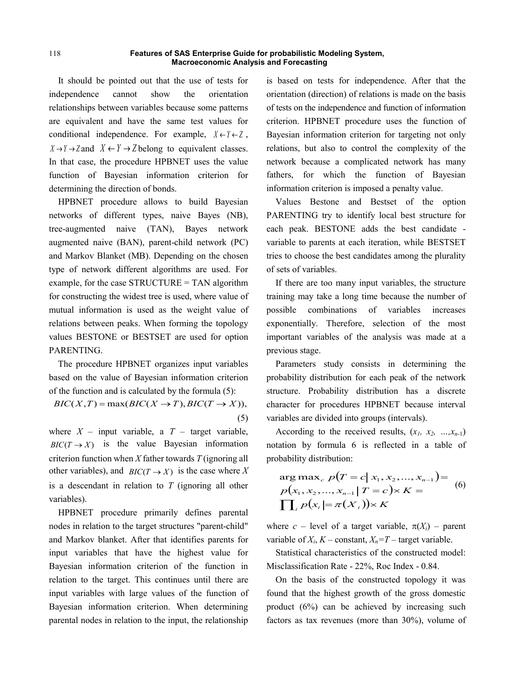It should be pointed out that the use of tests for independence cannot show the orientation relationships between variables because some patterns are equivalent and have the same test values for conditional independence. For example,  $X \leftarrow Y \leftarrow Z$ ,  $X \rightarrow Y \rightarrow Z$  and  $X \leftarrow Y \rightarrow Z$  belong to equivalent classes. In that case, the procedure HPBNET uses the value function of Bayesian information criterion for determining the direction of bonds.

HPBNET procedure allows to build Bayesian networks of different types, naive Bayes (NB), tree-augmented naive (TAN), Bayes network augmented naive (BAN), parent-child network (PC) and Markov Blanket (MB). Depending on the chosen type of network different algorithms are used. For example, for the case  $STRUCTURE = TAN algorithm$ for constructing the widest tree is used, where value of mutual information is used as the weight value of relations between peaks. When forming the topology values BESTONE or BESTSET are used for option PARENTING.

The procedure HPBNET organizes input variables based on the value of Bayesian information criterion of the function and is calculated by the formula (5):

 $BIC(X, T) = \max(BIC(X \rightarrow T), BIC(T \rightarrow X)),$ (5)

where  $X$  – input variable, a  $T$  – target variable,  $BIC(T \to X)$  is the value Bayesian information criterion function when *X* father towards *T* (ignoring all other variables), and *BIC*( $T \rightarrow X$ ) is the case where *X* is a descendant in relation to *T* (ignoring all other variables).

HPBNET procedure primarily defines parental nodes in relation to the target structures "parent-child" and Markov blanket. After that identifies parents for input variables that have the highest value for Bayesian information criterion of the function in relation to the target. This continues until there are input variables with large values of the function of Bayesian information criterion. When determining parental nodes in relation to the input, the relationship

is based on tests for independence. After that the orientation (direction) of relations is made on the basis of tests on the independence and function of information criterion. HPBNET procedure uses the function of Bayesian information criterion for targeting not only relations, but also to control the complexity of the network because a complicated network has many fathers, for which the function of Bayesian information criterion is imposed a penalty value.

Values Bestone and Bestset of the option PARENTING try to identify local best structure for each peak. BESTONE adds the best candidate variable to parents at each iteration, while BESTSET tries to choose the best candidates among the plurality of sets of variables.

If there are too many input variables, the structure training may take a long time because the number of possible combinations of variables increases exponentially. Therefore, selection of the most important variables of the analysis was made at a previous stage.

Parameters study consists in determining the probability distribution for each peak of the network structure. Probability distribution has a discrete character for procedures HPBNET because interval variables are divided into groups (intervals).

According to the received results,  $(x_1, x_2, ..., x_{n-1})$ notation by formula 6 is reflected in a table of probability distribution:

$$
\arg \max_{c} p(T = c | x_1, x_2, ..., x_{n-1}) =
$$
  
\n
$$
p(x_1, x_2, ..., x_{n-1} | T = c) \times K =
$$
  
\n
$$
\prod_{i} p(x_i | = \pi(X_i)) \times K
$$
 (6)

where  $c$  – level of a target variable,  $\pi(X_i)$  – parent variable of  $X_i$ ,  $K$  – constant,  $X_n = T$  – target variable.

Statistical characteristics of the constructed model: Misclassification Rate - 22%, Roc Index - 0.84.

On the basis of the constructed topology it was found that the highest growth of the gross domestic product (6%) can be achieved by increasing such factors as tax revenues (more than 30%), volume of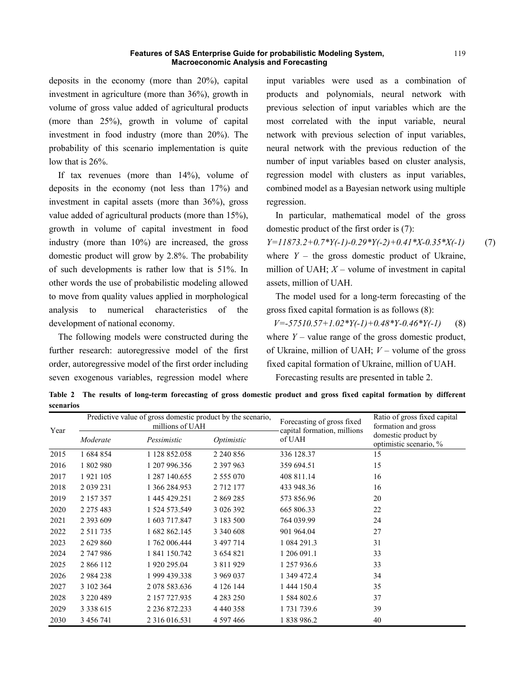deposits in the economy (more than 20%), capital investment in agriculture (more than 36%), growth in volume of gross value added of agricultural products (more than 25%), growth in volume of capital investment in food industry (more than 20%). The probability of this scenario implementation is quite low that is 26%.

If tax revenues (more than 14%), volume of deposits in the economy (not less than 17%) and investment in capital assets (more than 36%), gross value added of agricultural products (more than 15%), growth in volume of capital investment in food industry (more than 10%) are increased, the gross domestic product will grow by 2.8%. The probability of such developments is rather low that is 51%. In other words the use of probabilistic modeling allowed to move from quality values applied in morphological analysis to numerical characteristics of the development of national economy.

The following models were constructed during the further research: autoregressive model of the first order, autoregressive model of the first order including seven exogenous variables, regression model where input variables were used as a combination of products and polynomials, neural network with previous selection of input variables which are the most correlated with the input variable, neural network with previous selection of input variables, neural network with the previous reduction of the number of input variables based on cluster analysis, regression model with clusters as input variables, combined model as a Bayesian network using multiple regression.

In particular, mathematical model of the gross domestic product of the first order is (7):

*Y=11873.2+0.7\*Y(-1)-0.29\*Y(-2)+0.41\*X-0.35\*X(-1)* (7) where  $Y -$  the gross domestic product of Ukraine, million of UAH;  $X$  – volume of investment in capital assets, million of UAH.

The model used for a long-term forecasting of the gross fixed capital formation is as follows (8):

*V=-57510.57+1.02\*Y(-1)+0.48\*Y-0.46\*Y(-1)* (8) where  $Y$  – value range of the gross domestic product, of Ukraine, million of UAH; *V* – volume of the gross fixed capital formation of Ukraine, million of UAH. Forecasting results are presented in table 2.

**Table 2 The results of long-term forecasting of gross domestic product and gross fixed capital formation by different scenarios**

| Year | Predictive value of gross domestic product by the scenario,<br>millions of UAH |               |               | Forecasting of gross fixed            | Ratio of gross fixed capital<br>formation and gross |
|------|--------------------------------------------------------------------------------|---------------|---------------|---------------------------------------|-----------------------------------------------------|
|      | Moderate                                                                       | Pessimistic   | Optimistic    | capital formation, millions<br>of UAH | domestic product by<br>optimistic scenario, %       |
| 2015 | 1 684 854                                                                      | 1 128 852.058 | 2 240 856     | 336 128.37                            | 15                                                  |
| 2016 | 1802980                                                                        | 1 207 996.356 | 2 397 963     | 359 694.51                            | 15                                                  |
| 2017 | 1921 105                                                                       | 1 287 140.655 | 2 555 070     | 408 811.14                            | 16                                                  |
| 2018 | 2 0 3 9 2 3 1                                                                  | 1 366 284.953 | 2 712 177     | 433 948.36                            | 16                                                  |
| 2019 | 2 157 357                                                                      | 1 445 429.251 | 2 869 285     | 573 856.96                            | 20                                                  |
| 2020 | 2 2 7 5 4 8 3                                                                  | 1 524 573.549 | 3 0 2 6 3 9 2 | 665 806.33                            | 22                                                  |
| 2021 | 2 3 9 3 6 0 9                                                                  | 1 603 717.847 | 3 183 500     | 764 039.99                            | 24                                                  |
| 2022 | 2 5 1 1 7 3 5                                                                  | 1 682 862.145 | 3 340 608     | 901 964.04                            | 27                                                  |
| 2023 | 2 629 860                                                                      | 1 762 006.444 | 3 497 714     | 1 084 291.3                           | 31                                                  |
| 2024 | 2 747 986                                                                      | 1 841 150.742 | 3 6 5 4 8 2 1 | 1 206 091.1                           | 33                                                  |
| 2025 | 2 866 112                                                                      | 1 920 295.04  | 3 811 929     | 1 257 936.6                           | 33                                                  |
| 2026 | 2 9 8 4 2 3 8                                                                  | 1 999 439.338 | 3 969 037     | 1 349 472.4                           | 34                                                  |
| 2027 | 3 102 364                                                                      | 2 078 583.636 | 4 1 2 6 1 4 4 | 1 444 150.4                           | 35                                                  |
| 2028 | 3 2 2 0 4 8 9                                                                  | 2 157 727.935 | 4 2 8 3 2 5 0 | 1 584 802.6                           | 37                                                  |
| 2029 | 3 3 3 8 6 1 5                                                                  | 2 236 872.233 | 4 4 4 4 3 5 8 | 1 731 739.6                           | 39                                                  |
| 2030 | 3 456 741                                                                      | 2 316 016.531 | 4 597 466     | 1 838 986.2                           | 40                                                  |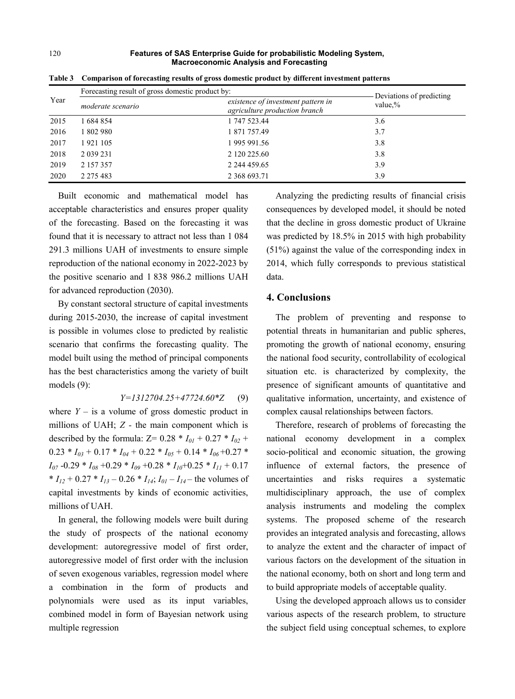| Year | Forecasting result of gross domestic product by: | Deviations of predicting                                            |         |
|------|--------------------------------------------------|---------------------------------------------------------------------|---------|
|      | moderate scenario                                | existence of investment pattern in<br>agriculture production branch | value,% |
| 2015 | 1 684 854                                        | 1 747 523.44                                                        | 3.6     |
| 2016 | 1 802 980                                        | 1 871 757.49                                                        | 3.7     |
| 2017 | 1921 105                                         | 1 995 991.56                                                        | 3.8     |
| 2018 | 2 0 39 2 31                                      | 2 120 225.60                                                        | 3.8     |
| 2019 | 2 157 357                                        | 2 244 459.65                                                        | 3.9     |
| 2020 | 2 2 7 5 4 8 3                                    | 2 3 6 6 6 9 3 .71                                                   | 3.9     |

**Table 3 Comparison of forecasting results of gross domestic product by different investment patterns**

Built economic and mathematical model has acceptable characteristics and ensures proper quality of the forecasting. Based on the forecasting it was found that it is necessary to attract not less than 1 084 291.3 millions UAH of investments to ensure simple reproduction of the national economy in 2022-2023 by the positive scenario and 1 838 986.2 millions UAH for advanced reproduction (2030).

By constant sectoral structure of capital investments during 2015-2030, the increase of capital investment is possible in volumes close to predicted by realistic scenario that confirms the forecasting quality. The model built using the method of principal components has the best characteristics among the variety of built models (9):

*Y=1312704.25+47724.60\*Z* (9) where  $Y -$  is a volume of gross domestic product in millions of UAH; *Z -* the main component which is described by the formula:  $Z = 0.28 * I_{01} + 0.27 * I_{02} +$  $0.23 * I_{03} + 0.17 * I_{04} + 0.22 * I_{05} + 0.14 * I_{06} + 0.27 *$  $I_{07}$  -0.29  $*$   $I_{08}$  +0.29  $*$   $I_{09}$  +0.28  $*$   $I_{10}$ +0.25  $*$   $I_{11}$  + 0.17  $* I_{12} + 0.27 * I_{13} - 0.26 * I_{14}$ ;  $I_{01} - I_{14}$  – the volumes of

capital investments by kinds of economic activities, millions of UAH. In general, the following models were built during

the study of prospects of the national economy development: autoregressive model of first order, autoregressive model of first order with the inclusion of seven exogenous variables, regression model where a combination in the form of products and polynomials were used as its input variables, combined model in form of Bayesian network using multiple regression

Analyzing the predicting results of financial crisis consequences by developed model, it should be noted that the decline in gross domestic product of Ukraine was predicted by 18.5% in 2015 with high probability (51%) against the value of the corresponding index in 2014, which fully corresponds to previous statistical data.

### **4. Conclusions**

The problem of preventing and response to potential threats in humanitarian and public spheres, promoting the growth of national economy, ensuring the national food security, controllability of ecological situation etc. is characterized by complexity, the presence of significant amounts of quantitative and qualitative information, uncertainty, and existence of complex causal relationships between factors.

Therefore, research of problems of forecasting the national economy development in a complex socio-political and economic situation, the growing influence of external factors, the presence of uncertainties and risks requires a systematic multidisciplinary approach, the use of complex analysis instruments and modeling the complex systems. The proposed scheme of the research provides an integrated analysis and forecasting, allows to analyze the extent and the character of impact of various factors on the development of the situation in the national economy, both on short and long term and to build appropriate models of acceptable quality.

Using the developed approach allows us to consider various aspects of the research problem, to structure the subject field using conceptual schemes, to explore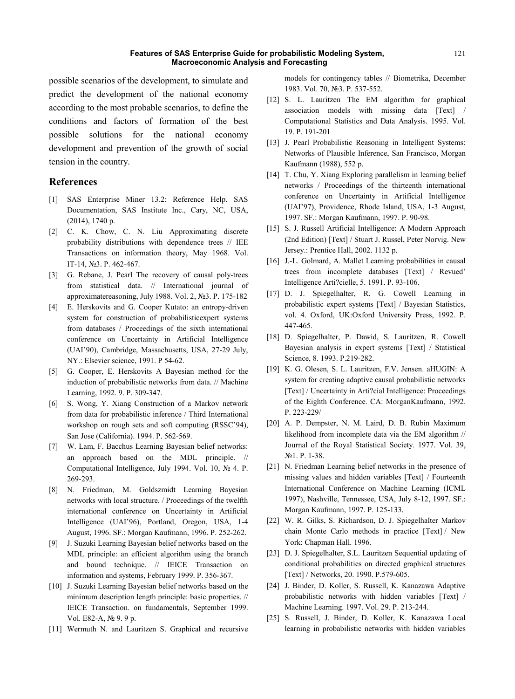possible scenarios of the development, to simulate and predict the development of the national economy according to the most probable scenarios, to define the conditions and factors of formation of the best possible solutions for the national economy development and prevention of the growth of social tension in the country.

# **References**

- [1] SAS Enterprise Miner 13.2: Reference Help. SAS Documentation, SAS Institute Inc., Cary, NC, USA, (2014), 1740 p.
- [2] C. K. Chow, C. N. Liu Approximating discrete probability distributions with dependence trees // IEE Transactions on information theory, May 1968. Vol. IT-14, №3. P. 462-467.
- [3] G. Rebane, J. Pearl The recovery of causal poly-trees from statistical data. // International journal of approximatereasoning, July 1988. Vol. 2, №3. P. 175-182
- [4] E. Herskovits and G. Cooper Kutato: an entropy-driven system for construction of probabilisticexpert systems from databases / Proceedings of the sixth international conference on Uncertainty in Artificial Intelligence (UAI'90), Cambridge, Massachusetts, USA, 27-29 July, NY.: Elsevier science, 1991. P 54-62.
- [5] G. Cooper, E. Herskovits A Bayesian method for the induction of probabilistic networks from data. // Machine Learning, 1992. 9. P. 309-347.
- [6] S. Wong, Y. Xiang Construction of a Markov network from data for probabilistic inference / Third International workshop on rough sets and soft computing (RSSC'94), San Jose (California). 1994. P. 562-569.
- [7] W. Lam, F. Bacchus Learning Bayesian belief networks: an approach based on the MDL principle. // Computational Intelligence, July 1994. Vol. 10, № 4. P. 269-293.
- [8] N. Friedman, M. Goldszmidt Learning Bayesian networks with local structure. / Proceedings of the twelfth international conference on Uncertainty in Artificial Intelligence (UAI'96), Portland, Oregon, USA, 1-4 August, 1996. SF.: Morgan Kaufmann, 1996. P. 252-262.
- [9] J. Suzuki Learning Bayesian belief networks based on the MDL principle: an efficient algorithm using the branch and bound technique. // IEICE Transaction on information and systems, February 1999. P. 356-367.
- [10] J. Suzuki Learning Bayesian belief networks based on the minimum description length principle: basic properties. // IEICE Transaction. on fundamentals, September 1999. Vol. E82-A, № 9. 9 p.
- [11] Wermuth N. and Lauritzen S. Graphical and recursive

models for contingency tables // Biometrika, December 1983. Vol. 70, №3. P. 537-552.

- [12] S. L. Lauritzen The EM algorithm for graphical association models with missing data [Text] / Computational Statistics and Data Analysis. 1995. Vol. 19. P. 191-201
- [13] J. Pearl Probabilistic Reasoning in Intelligent Systems: Networks of Plausible Inference, San Francisco, Morgan Kaufmann (1988), 552 p.
- [14] T. Chu, Y. Xiang Exploring parallelism in learning belief networks / Proceedings of the thirteenth international conference on Uncertainty in Artificial Intelligence (UAI'97), Providence, Rhode Island, USA, 1-3 August, 1997. SF.: Morgan Kaufmann, 1997. P. 90-98.
- [15] S. J. Russell Artificial Intelligence: A Modern Approach (2nd Edition) [Text] / Stuart J. Russel, Peter Norvig. New Jersey.: Prentice Hall, 2002. 1132 p.
- [16] J.-L. Golmard, A. Mallet Learning probabilities in causal trees from incomplete databases [Text] / Revued' Intelligence Arti?cielle, 5. 1991. P. 93-106.
- [17] D. J. Spiegelhalter, R. G. Cowell Learning in probabilistic expert systems [Text] / Bayesian Statistics, vol. 4. Oxford, UK:Oxford University Press, 1992. P. 447-465.
- [18] D. Spiegelhalter, P. Dawid, S. Lauritzen, R. Cowell Bayesian analysis in expert systems [Text] / Statistical Science, 8. 1993. P.219-282.
- [19] K. G. Olesen, S. L. Lauritzen, F.V. Jensen. aHUGIN: A system for creating adaptive causal probabilistic networks [Text] / Uncertainty in Arti?cial Intelligence: Proceedings of the Eighth Conference. CA: MorganKaufmann, 1992. P. 223-229/
- [20] A. P. Dempster, N. M. Laird, D. B. Rubin Maximum likelihood from incomplete data via the EM algorithm // Journal of the Royal Statistical Society. 1977. Vol. 39, №1. P. 1-38.
- [21] N. Friedman Learning belief networks in the presence of missing values and hidden variables [Text] / Fourteenth International Conference on Machine Learning (ICML 1997), Nashville, Tennessee, USA, July 8-12, 1997. SF.: Morgan Kaufmann, 1997. P. 125-133.
- [22] W. R. Gilks, S. Richardson, D. J. Spiegelhalter Markov chain Monte Carlo methods in practice [Text] / New York: Chapman Hall. 1996.
- [23] D. J. Spiegelhalter, S.L. Lauritzen Sequential updating of conditional probabilities on directed graphical structures [Text] / Networks, 20. 1990. P.579-605.
- [24] J. Binder, D. Koller, S. Russell, K. Kanazawa Adaptive probabilistic networks with hidden variables [Text] / Machine Learning. 1997. Vol. 29. P. 213-244.
- [25] S. Russell, J. Binder, D. Koller, K. Kanazawa Local learning in probabilistic networks with hidden variables